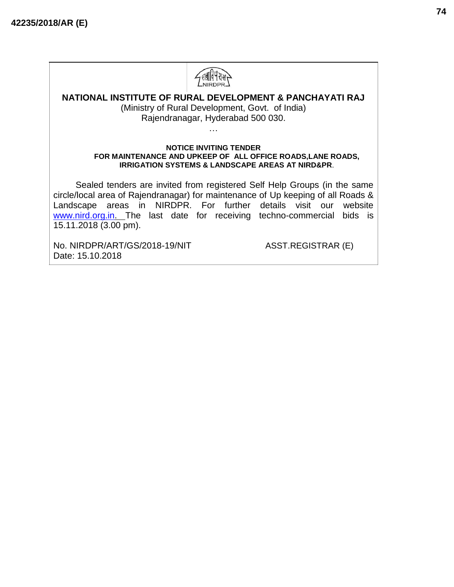

# **NATIONAL INSTITUTE OF RURAL DEVELOPMENT & PANCHAYATI RAJ**

(Ministry of Rural Development, Govt. of India) Rajendranagar, Hyderabad 500 030.

…

#### **NOTICE INVITING TENDER FOR MAINTENANCE AND UPKEEP OF ALL OFFICE ROADS,LANE ROADS, IRRIGATION SYSTEMS & LANDSCAPE AREAS AT NIRD&PR**.

Sealed tenders are invited from registered Self Help Groups (in the same circle/local area of Rajendranagar) for maintenance of Up keeping of all Roads & Landscape areas in NIRDPR. For further details visit our website [www.nird.org.in. T](http://www.nird.org.in/)he last date for receiving techno-commercial bids is 15.11.2018 (3.00 pm).

No. NIRDPR/ART/GS/2018-19/NIT ASST.REGISTRAR (E) Date: 15.10.2018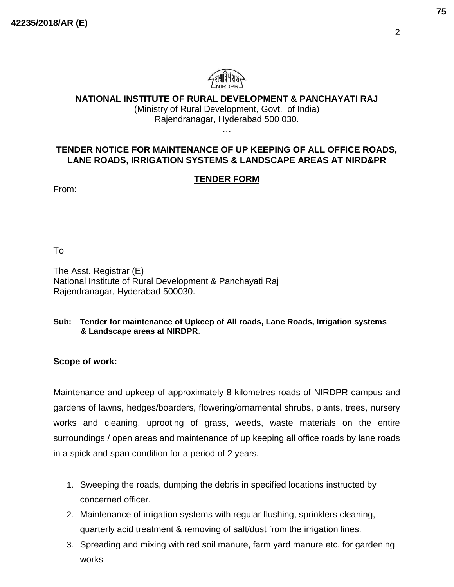

# **NATIONAL INSTITUTE OF RURAL DEVELOPMENT & PANCHAYATI RAJ**

(Ministry of Rural Development, Govt. of India) Rajendranagar, Hyderabad 500 030. …

# **TENDER NOTICE FOR MAINTENANCE OF UP KEEPING OF ALL OFFICE ROADS, LANE ROADS, IRRIGATION SYSTEMS & LANDSCAPE AREAS AT NIRD&PR**

# **TENDER FORM**

From:

To

The Asst. Registrar (E) National Institute of Rural Development & Panchayati Raj Rajendranagar, Hyderabad 500030.

#### **Sub: Tender for maintenance of Upkeep of All roads, Lane Roads, Irrigation systems & Landscape areas at NIRDPR**.

# **Scope of work:**

Maintenance and upkeep of approximately 8 kilometres roads of NIRDPR campus and gardens of lawns, hedges/boarders, flowering/ornamental shrubs, plants, trees, nursery works and cleaning, uprooting of grass, weeds, waste materials on the entire surroundings / open areas and maintenance of up keeping all office roads by lane roads in a spick and span condition for a period of 2 years.

- 1. Sweeping the roads, dumping the debris in specified locations instructed by concerned officer.
- 2. Maintenance of irrigation systems with regular flushing, sprinklers cleaning, quarterly acid treatment & removing of salt/dust from the irrigation lines.
- 3. Spreading and mixing with red soil manure, farm yard manure etc. for gardening works

2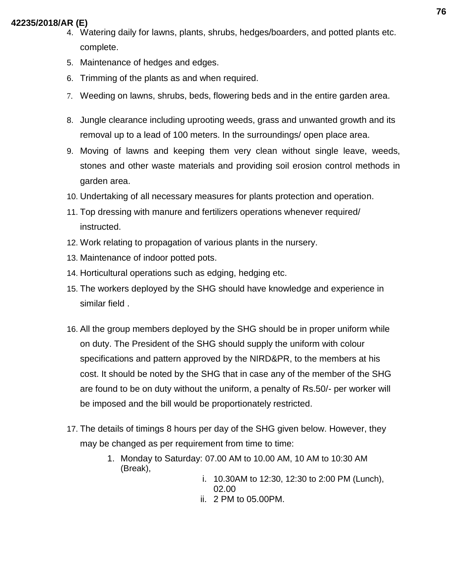- 4. Watering daily for lawns, plants, shrubs, hedges/boarders, and potted plants etc. complete.
- 5. Maintenance of hedges and edges.
- 6. Trimming of the plants as and when required.
- 7. Weeding on lawns, shrubs, beds, flowering beds and in the entire garden area.
- 8. Jungle clearance including uprooting weeds, grass and unwanted growth and its removal up to a lead of 100 meters. In the surroundings/ open place area.
- 9. Moving of lawns and keeping them very clean without single leave, weeds, stones and other waste materials and providing soil erosion control methods in garden area.
- 10. Undertaking of all necessary measures for plants protection and operation.
- 11. Top dressing with manure and fertilizers operations whenever required/ instructed.
- 12. Work relating to propagation of various plants in the nursery.
- 13. Maintenance of indoor potted pots.
- 14. Horticultural operations such as edging, hedging etc.
- 15. The workers deployed by the SHG should have knowledge and experience in similar field .
- 16. All the group members deployed by the SHG should be in proper uniform while on duty. The President of the SHG should supply the uniform with colour specifications and pattern approved by the NIRD&PR, to the members at his cost. It should be noted by the SHG that in case any of the member of the SHG are found to be on duty without the uniform, a penalty of Rs.50/- per worker will be imposed and the bill would be proportionately restricted.
- 17. The details of timings 8 hours per day of the SHG given below. However, they may be changed as per requirement from time to time:
	- 1. Monday to Saturday: 07.00 AM to 10.00 AM, 10 AM to 10:30 AM (Break),
		- i. 10.30AM to 12:30, 12:30 to 2:00 PM (Lunch), 02.00
		- ii. 2 PM to 05.00PM.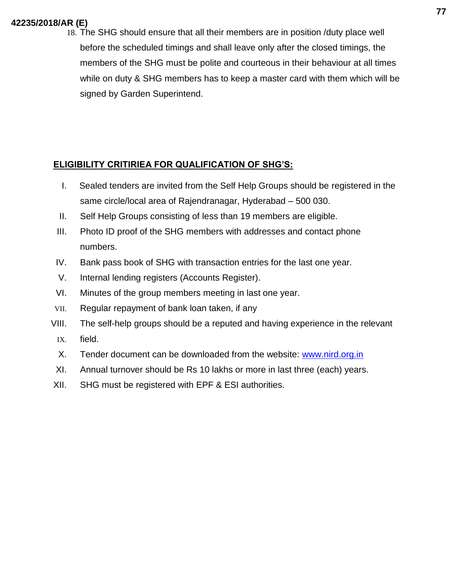18. The SHG should ensure that all their members are in position /duty place well before the scheduled timings and shall leave only after the closed timings, the members of the SHG must be polite and courteous in their behaviour at all times while on duty & SHG members has to keep a master card with them which will be signed by Garden Superintend.

# **ELIGIBILITY CRITIRIEA FOR QUALIFICATION OF SHG'S:**

- I. Sealed tenders are invited from the Self Help Groups should be registered in the same circle/local area of Rajendranagar, Hyderabad – 500 030.
- II. Self Help Groups consisting of less than 19 members are eligible.
- III. Photo ID proof of the SHG members with addresses and contact phone numbers.
- IV. Bank pass book of SHG with transaction entries for the last one year.
- V. Internal lending registers (Accounts Register).
- VI. Minutes of the group members meeting in last one year.
- VII. Regular repayment of bank loan taken, if any
- VIII. The self-help groups should be a reputed and having experience in the relevant IX. field.
	- X. Tender document can be downloaded from the website: [www.nird.org.in](http://www.nird.org.in/)
- XI. Annual turnover should be Rs 10 lakhs or more in last three (each) years.
- XII. SHG must be registered with EPF & ESI authorities.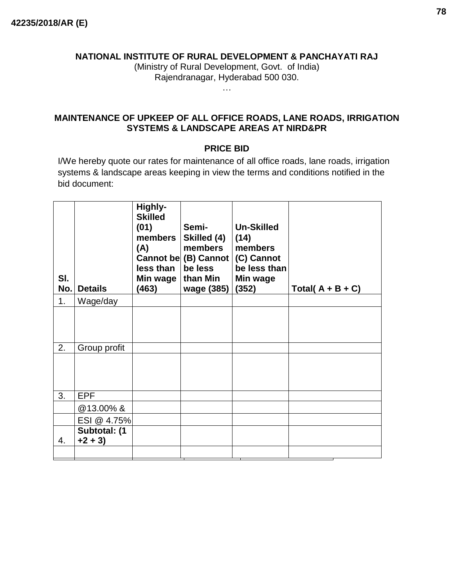#### **NATIONAL INSTITUTE OF RURAL DEVELOPMENT & PANCHAYATI RAJ**

(Ministry of Rural Development, Govt. of India) Rajendranagar, Hyderabad 500 030.

…

# **MAINTENANCE OF UPKEEP OF ALL OFFICE ROADS, LANE ROADS, IRRIGATION SYSTEMS & LANDSCAPE AREAS AT NIRD&PR**

## **PRICE BID**

I/We hereby quote our rates for maintenance of all office roads, lane roads, irrigation systems & landscape areas keeping in view the terms and conditions notified in the bid document:

| SI.<br>No. | <b>Details</b>           | Highly-<br><b>Skilled</b><br>(01)<br>members  <br>(A)<br>$less than \mid$<br>Min wage   than Min<br>(463) | Semi-<br>Skilled (4)<br>members<br>Cannot be (B) Cannot (C) Cannot<br>be less<br>wage (385) | <b>Un-Skilled</b><br>(14)<br>members<br>be less than<br>Min wage<br>(352) | Total( $A + B + C$ ) |
|------------|--------------------------|-----------------------------------------------------------------------------------------------------------|---------------------------------------------------------------------------------------------|---------------------------------------------------------------------------|----------------------|
| 1.         | Wage/day                 |                                                                                                           |                                                                                             |                                                                           |                      |
|            |                          |                                                                                                           |                                                                                             |                                                                           |                      |
| 2.         | Group profit             |                                                                                                           |                                                                                             |                                                                           |                      |
|            |                          |                                                                                                           |                                                                                             |                                                                           |                      |
| 3.         | <b>EPF</b>               |                                                                                                           |                                                                                             |                                                                           |                      |
|            | @13.00%&                 |                                                                                                           |                                                                                             |                                                                           |                      |
|            | ESI @ 4.75%              |                                                                                                           |                                                                                             |                                                                           |                      |
| 4.         | Subtotal: (1<br>$+2 + 3$ |                                                                                                           |                                                                                             |                                                                           |                      |
|            |                          |                                                                                                           |                                                                                             |                                                                           |                      |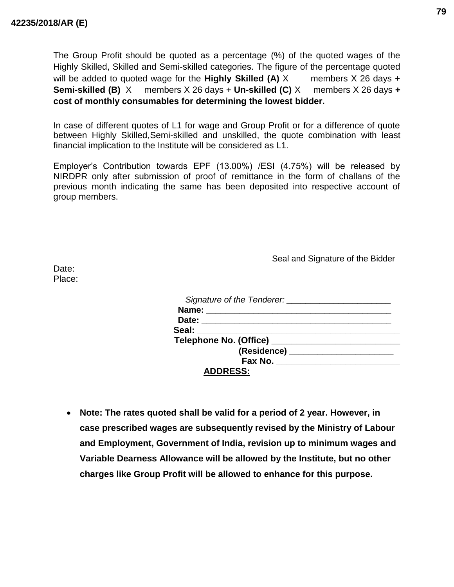The Group Profit should be quoted as a percentage (%) of the quoted wages of the Highly Skilled, Skilled and Semi-skilled categories. The figure of the percentage quoted will be added to quoted wage for the **Highly Skilled (A)** X members X 26 days + **Semi-skilled (B)** X members X 26 days + **Un-skilled (C)** X members X 26 days **+ cost of monthly consumables for determining the lowest bidder.**

In case of different quotes of L1 for wage and Group Profit or for a difference of quote between Highly Skilled,Semi-skilled and unskilled, the quote combination with least financial implication to the Institute will be considered as L1.

Employer's Contribution towards EPF (13.00%) /ESI (4.75%) will be released by NIRDPR only after submission of proof of remittance in the form of challans of the previous month indicating the same has been deposited into respective account of group members.

Seal and Signature of the Bidder

Date: Place:

| Signature of the Tenderer: Signature of the Tenderer: |  |
|-------------------------------------------------------|--|
|                                                       |  |
|                                                       |  |
| Seal: ___________                                     |  |
|                                                       |  |
|                                                       |  |
| Fax No. <u>__________________</u>                     |  |
| <b>ADDRESS:</b>                                       |  |

• **Note: The rates quoted shall be valid for a period of 2 year. However, in case prescribed wages are subsequently revised by the Ministry of Labour and Employment, Government of India, revision up to minimum wages and Variable Dearness Allowance will be allowed by the Institute, but no other charges like Group Profit will be allowed to enhance for this purpose.**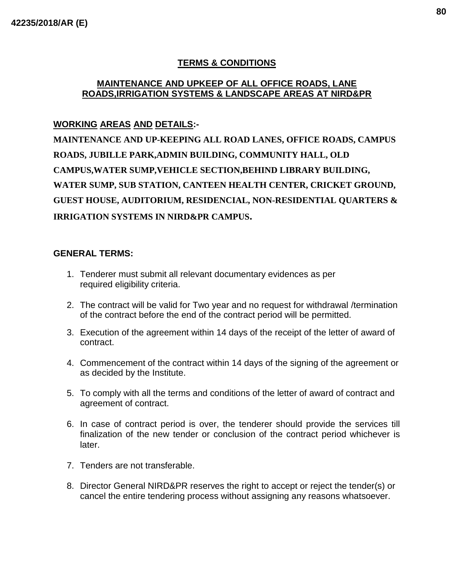# **TERMS & CONDITIONS**

#### **MAINTENANCE AND UPKEEP OF ALL OFFICE ROADS, LANE ROADS,IRRIGATION SYSTEMS & LANDSCAPE AREAS AT NIRD&PR**

# **WORKING AREAS AND DETAILS:-**

**MAINTENANCE AND UP-KEEPING ALL ROAD LANES, OFFICE ROADS, CAMPUS ROADS, JUBILLE PARK,ADMIN BUILDING, COMMUNITY HALL, OLD CAMPUS,WATER SUMP,VEHICLE SECTION,BEHIND LIBRARY BUILDING, WATER SUMP, SUB STATION, CANTEEN HEALTH CENTER, CRICKET GROUND, GUEST HOUSE, AUDITORIUM, RESIDENCIAL, NON-RESIDENTIAL QUARTERS & IRRIGATION SYSTEMS IN NIRD&PR CAMPUS.**

#### **GENERAL TERMS:**

- 1. Tenderer must submit all relevant documentary evidences as per required eligibility criteria.
- 2. The contract will be valid for Two year and no request for withdrawal /termination of the contract before the end of the contract period will be permitted.
- 3. Execution of the agreement within 14 days of the receipt of the letter of award of contract.
- 4. Commencement of the contract within 14 days of the signing of the agreement or as decided by the Institute.
- 5. To comply with all the terms and conditions of the letter of award of contract and agreement of contract.
- 6. In case of contract period is over, the tenderer should provide the services till finalization of the new tender or conclusion of the contract period whichever is later.
- 7. Tenders are not transferable.
- 8. Director General NIRD&PR reserves the right to accept or reject the tender(s) or cancel the entire tendering process without assigning any reasons whatsoever.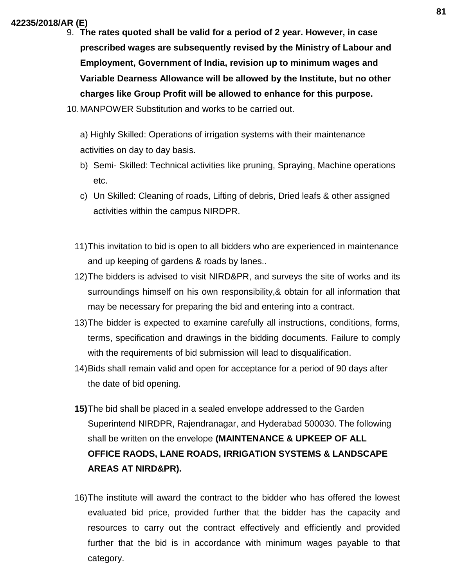9. **The rates quoted shall be valid for a period of 2 year. However, in case prescribed wages are subsequently revised by the Ministry of Labour and Employment, Government of India, revision up to minimum wages and Variable Dearness Allowance will be allowed by the Institute, but no other charges like Group Profit will be allowed to enhance for this purpose.**

10.MANPOWER Substitution and works to be carried out.

a) Highly Skilled: Operations of irrigation systems with their maintenance activities on day to day basis.

- b) Semi- Skilled: Technical activities like pruning, Spraying, Machine operations etc.
- c) Un Skilled: Cleaning of roads, Lifting of debris, Dried leafs & other assigned activities within the campus NIRDPR.
- 11)This invitation to bid is open to all bidders who are experienced in maintenance and up keeping of gardens & roads by lanes..
- 12)The bidders is advised to visit NIRD&PR, and surveys the site of works and its surroundings himself on his own responsibility,& obtain for all information that may be necessary for preparing the bid and entering into a contract.
- 13)The bidder is expected to examine carefully all instructions, conditions, forms, terms, specification and drawings in the bidding documents. Failure to comply with the requirements of bid submission will lead to disqualification.
- 14)Bids shall remain valid and open for acceptance for a period of 90 days after the date of bid opening.
- **15)**The bid shall be placed in a sealed envelope addressed to the Garden Superintend NIRDPR, Rajendranagar, and Hyderabad 500030. The following shall be written on the envelope **(MAINTENANCE & UPKEEP OF ALL OFFICE RAODS, LANE ROADS, IRRIGATION SYSTEMS & LANDSCAPE AREAS AT NIRD&PR).**
- 16)The institute will award the contract to the bidder who has offered the lowest evaluated bid price, provided further that the bidder has the capacity and resources to carry out the contract effectively and efficiently and provided further that the bid is in accordance with minimum wages payable to that category.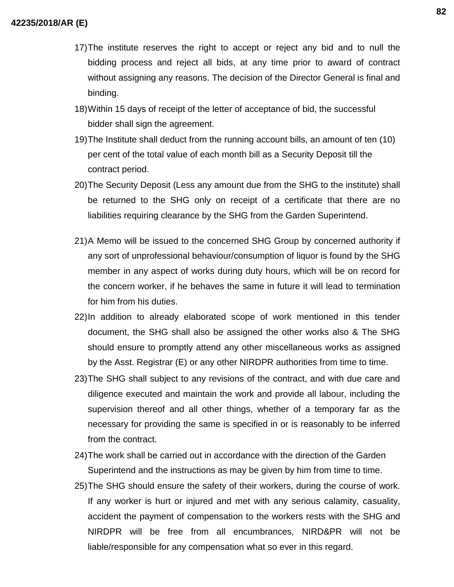- 17)The institute reserves the right to accept or reject any bid and to null the bidding process and reject all bids, at any time prior to award of contract without assigning any reasons. The decision of the Director General is final and binding.
- 18)Within 15 days of receipt of the letter of acceptance of bid, the successful bidder shall sign the agreement.
- 19)The Institute shall deduct from the running account bills, an amount of ten (10) per cent of the total value of each month bill as a Security Deposit till the contract period.
- 20)The Security Deposit (Less any amount due from the SHG to the institute) shall be returned to the SHG only on receipt of a certificate that there are no liabilities requiring clearance by the SHG from the Garden Superintend.
- 21)A Memo will be issued to the concerned SHG Group by concerned authority if any sort of unprofessional behaviour/consumption of liquor is found by the SHG member in any aspect of works during duty hours, which will be on record for the concern worker, if he behaves the same in future it will lead to termination for him from his duties.
- 22)In addition to already elaborated scope of work mentioned in this tender document, the SHG shall also be assigned the other works also & The SHG should ensure to promptly attend any other miscellaneous works as assigned by the Asst. Registrar (E) or any other NIRDPR authorities from time to time.
- 23)The SHG shall subject to any revisions of the contract, and with due care and diligence executed and maintain the work and provide all labour, including the supervision thereof and all other things, whether of a temporary far as the necessary for providing the same is specified in or is reasonably to be inferred from the contract.
- 24)The work shall be carried out in accordance with the direction of the Garden Superintend and the instructions as may be given by him from time to time.
- 25)The SHG should ensure the safety of their workers, during the course of work. If any worker is hurt or injured and met with any serious calamity, casuality, accident the payment of compensation to the workers rests with the SHG and NIRDPR will be free from all encumbrances, NIRD&PR will not be liable/responsible for any compensation what so ever in this regard.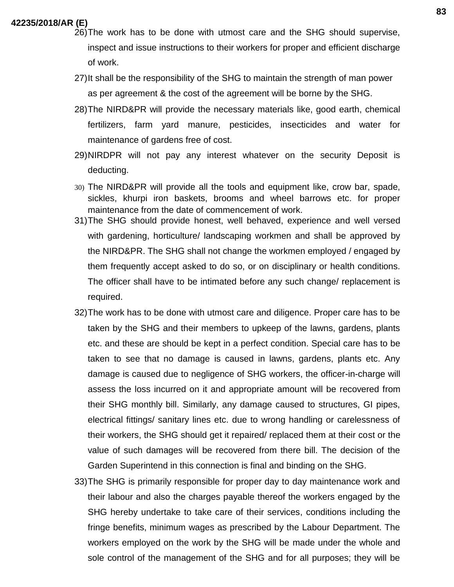- 26)The work has to be done with utmost care and the SHG should supervise, inspect and issue instructions to their workers for proper and efficient discharge of work.
- 27)It shall be the responsibility of the SHG to maintain the strength of man power as per agreement & the cost of the agreement will be borne by the SHG.
- 28)The NIRD&PR will provide the necessary materials like, good earth, chemical fertilizers, farm yard manure, pesticides, insecticides and water for maintenance of gardens free of cost.
- 29)NIRDPR will not pay any interest whatever on the security Deposit is deducting.
- 30) The NIRD&PR will provide all the tools and equipment like, crow bar, spade, sickles, khurpi iron baskets, brooms and wheel barrows etc. for proper maintenance from the date of commencement of work.
- 31)The SHG should provide honest, well behaved, experience and well versed with gardening, horticulture/ landscaping workmen and shall be approved by the NIRD&PR. The SHG shall not change the workmen employed / engaged by them frequently accept asked to do so, or on disciplinary or health conditions. The officer shall have to be intimated before any such change/ replacement is required.
- 32)The work has to be done with utmost care and diligence. Proper care has to be taken by the SHG and their members to upkeep of the lawns, gardens, plants etc. and these are should be kept in a perfect condition. Special care has to be taken to see that no damage is caused in lawns, gardens, plants etc. Any damage is caused due to negligence of SHG workers, the officer-in-charge will assess the loss incurred on it and appropriate amount will be recovered from their SHG monthly bill. Similarly, any damage caused to structures, GI pipes, electrical fittings/ sanitary lines etc. due to wrong handling or carelessness of their workers, the SHG should get it repaired/ replaced them at their cost or the value of such damages will be recovered from there bill. The decision of the Garden Superintend in this connection is final and binding on the SHG.
- 33)The SHG is primarily responsible for proper day to day maintenance work and their labour and also the charges payable thereof the workers engaged by the SHG hereby undertake to take care of their services, conditions including the fringe benefits, minimum wages as prescribed by the Labour Department. The workers employed on the work by the SHG will be made under the whole and sole control of the management of the SHG and for all purposes; they will be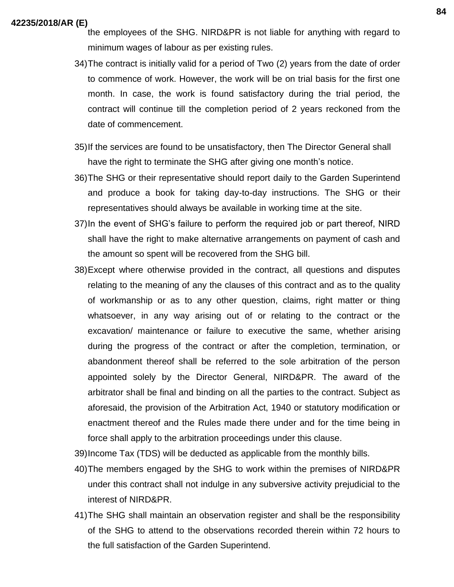- the employees of the SHG. NIRD&PR is not liable for anything with regard to minimum wages of labour as per existing rules.
- 34)The contract is initially valid for a period of Two (2) years from the date of order to commence of work. However, the work will be on trial basis for the first one month. In case, the work is found satisfactory during the trial period, the contract will continue till the completion period of 2 years reckoned from the date of commencement.
- 35)If the services are found to be unsatisfactory, then The Director General shall have the right to terminate the SHG after giving one month's notice.
- 36)The SHG or their representative should report daily to the Garden Superintend and produce a book for taking day-to-day instructions. The SHG or their representatives should always be available in working time at the site.
- 37)In the event of SHG's failure to perform the required job or part thereof, NIRD shall have the right to make alternative arrangements on payment of cash and the amount so spent will be recovered from the SHG bill.
- 38)Except where otherwise provided in the contract, all questions and disputes relating to the meaning of any the clauses of this contract and as to the quality of workmanship or as to any other question, claims, right matter or thing whatsoever, in any way arising out of or relating to the contract or the excavation/ maintenance or failure to executive the same, whether arising during the progress of the contract or after the completion, termination, or abandonment thereof shall be referred to the sole arbitration of the person appointed solely by the Director General, NIRD&PR. The award of the arbitrator shall be final and binding on all the parties to the contract. Subject as aforesaid, the provision of the Arbitration Act, 1940 or statutory modification or enactment thereof and the Rules made there under and for the time being in force shall apply to the arbitration proceedings under this clause.

39)Income Tax (TDS) will be deducted as applicable from the monthly bills.

- 40)The members engaged by the SHG to work within the premises of NIRD&PR under this contract shall not indulge in any subversive activity prejudicial to the interest of NIRD&PR.
- 41)The SHG shall maintain an observation register and shall be the responsibility of the SHG to attend to the observations recorded therein within 72 hours to the full satisfaction of the Garden Superintend.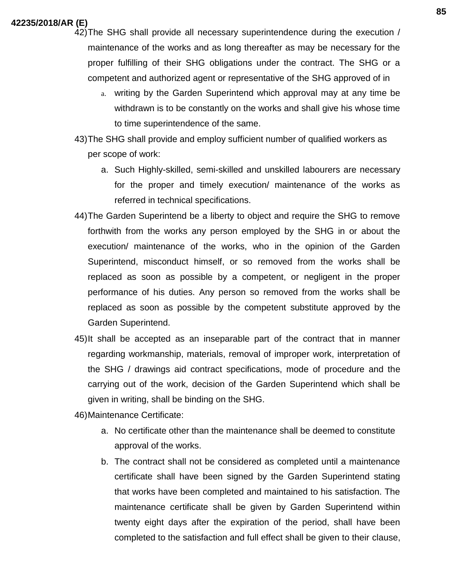42)The SHG shall provide all necessary superintendence during the execution / maintenance of the works and as long thereafter as may be necessary for the proper fulfilling of their SHG obligations under the contract. The SHG or a competent and authorized agent or representative of the SHG approved of in

a. writing by the Garden Superintend which approval may at any time be withdrawn is to be constantly on the works and shall give his whose time to time superintendence of the same.

43)The SHG shall provide and employ sufficient number of qualified workers as per scope of work:

- a. Such Highly-skilled, semi-skilled and unskilled labourers are necessary for the proper and timely execution/ maintenance of the works as referred in technical specifications.
- 44)The Garden Superintend be a liberty to object and require the SHG to remove forthwith from the works any person employed by the SHG in or about the execution/ maintenance of the works, who in the opinion of the Garden Superintend, misconduct himself, or so removed from the works shall be replaced as soon as possible by a competent, or negligent in the proper performance of his duties. Any person so removed from the works shall be replaced as soon as possible by the competent substitute approved by the Garden Superintend.
- 45)It shall be accepted as an inseparable part of the contract that in manner regarding workmanship, materials, removal of improper work, interpretation of the SHG / drawings aid contract specifications, mode of procedure and the carrying out of the work, decision of the Garden Superintend which shall be given in writing, shall be binding on the SHG.

46)Maintenance Certificate:

- a. No certificate other than the maintenance shall be deemed to constitute approval of the works.
- b. The contract shall not be considered as completed until a maintenance certificate shall have been signed by the Garden Superintend stating that works have been completed and maintained to his satisfaction. The maintenance certificate shall be given by Garden Superintend within twenty eight days after the expiration of the period, shall have been completed to the satisfaction and full effect shall be given to their clause,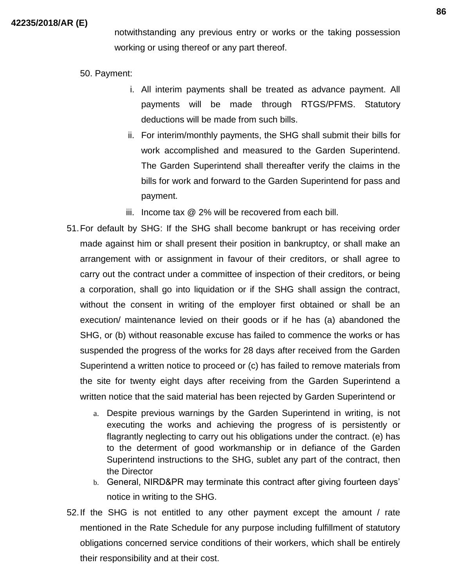notwithstanding any previous entry or works or the taking possession working or using thereof or any part thereof.

- 50. Payment:
	- i. All interim payments shall be treated as advance payment. All payments will be made through RTGS/PFMS. Statutory deductions will be made from such bills.
	- ii. For interim/monthly payments, the SHG shall submit their bills for work accomplished and measured to the Garden Superintend. The Garden Superintend shall thereafter verify the claims in the bills for work and forward to the Garden Superintend for pass and payment.
	- iii. Income tax @ 2% will be recovered from each bill.
- 51.For default by SHG: If the SHG shall become bankrupt or has receiving order made against him or shall present their position in bankruptcy, or shall make an arrangement with or assignment in favour of their creditors, or shall agree to carry out the contract under a committee of inspection of their creditors, or being a corporation, shall go into liquidation or if the SHG shall assign the contract, without the consent in writing of the employer first obtained or shall be an execution/ maintenance levied on their goods or if he has (a) abandoned the SHG, or (b) without reasonable excuse has failed to commence the works or has suspended the progress of the works for 28 days after received from the Garden Superintend a written notice to proceed or (c) has failed to remove materials from the site for twenty eight days after receiving from the Garden Superintend a written notice that the said material has been rejected by Garden Superintend or
	- a. Despite previous warnings by the Garden Superintend in writing, is not executing the works and achieving the progress of is persistently or flagrantly neglecting to carry out his obligations under the contract. (e) has to the determent of good workmanship or in defiance of the Garden Superintend instructions to the SHG, sublet any part of the contract, then the Director
	- b. General, NIRD&PR may terminate this contract after giving fourteen days' notice in writing to the SHG.
- 52.If the SHG is not entitled to any other payment except the amount / rate mentioned in the Rate Schedule for any purpose including fulfillment of statutory obligations concerned service conditions of their workers, which shall be entirely their responsibility and at their cost.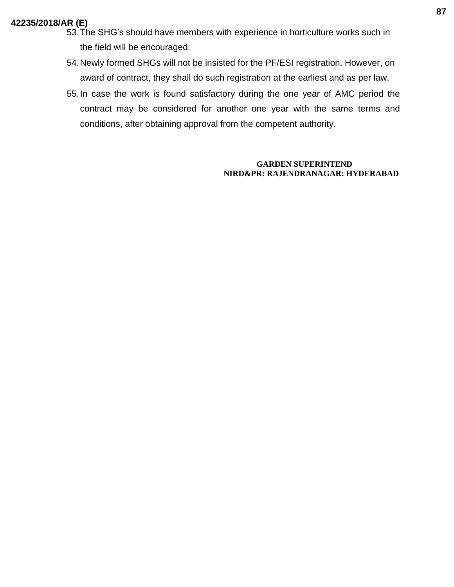- 53.The SHG's should have members with experience in horticulture works such in the field will be encouraged.
- 54.Newly formed SHGs will not be insisted for the PF/ESI registration. However, on award of contract, they shall do such registration at the earliest and as per law.
- 55.In case the work is found satisfactory during the one year of AMC period the contract may be considered for another one year with the same terms and conditions, after obtaining approval from the competent authority.

#### **GARDEN SUPERINTEND NIRD&PR: RAJENDRANAGAR: HYDERABAD**